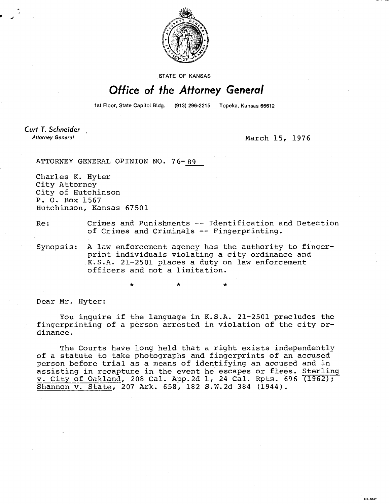

**STATE OF KANSAS** 

## Office of the Attorney General

1st Floor, State Capitol Bldg. (913) 296-2215 Topeka, Kansas 66612

Curt T. Schneider **Attorney General** 

March 15, 1976

ATTORNEY GENERAL OPINION NO. 76-89

Charles K. Hyter City Attorney City of Hutchinson P. 0. Box 1567 Hutchinson, Kansas 67501

Re: Crimes and Punishments -- Identification and Detection of Crimes and Criminals -- Fingerprinting.

Synopsis: A law enforcement agency has the authority to fingerprint individuals violating a city ordinance and K.S.A. 21-2501 places a duty on law enforcement officers and not a limitation.

Dear Mr. Hyter:

You inquire if the language in K.S.A. 21-2501 precludes the fingerprinting of a person arrested in violation of the city ordinance.

The Courts have long held that a right exists independently of a statute to take photographs and fingerprints of an accused person before trial as a means of identifying an accused and in assisting in recapture in the event he escapes or flees. Sterling v. City of Oakland, 208 Cal. App.2d 1, 24 Cal. Rpts. 696 (1962); Shannon v. State, 207 Ark. 658, 182 S.W.2d 384 (1944).